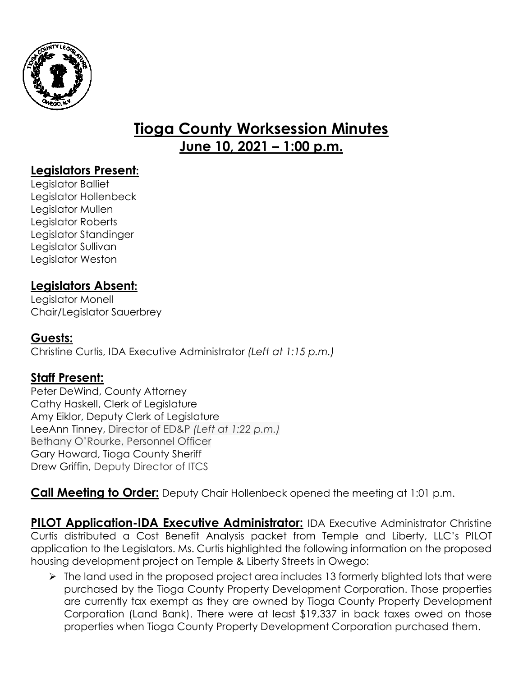

# **Tioga County Worksession Minutes June 10, 2021 – 1:00 p.m.**

## **Legislators Present:**

Legislator Balliet Legislator Hollenbeck Legislator Mullen Legislator Roberts Legislator Standinger Legislator Sullivan Legislator Weston

## **Legislators Absent:**

Legislator Monell Chair/Legislator Sauerbrey

### **Guests:**

Christine Curtis, IDA Executive Administrator *(Left at 1:15 p.m.)*

### **Staff Present:**

Peter DeWind, County Attorney Cathy Haskell, Clerk of Legislature Amy Eiklor, Deputy Clerk of Legislature LeeAnn Tinney, Director of ED&P *(Left at 1:22 p.m.)* Bethany O'Rourke, Personnel Officer Gary Howard, Tioga County Sheriff Drew Griffin, Deputy Director of ITCS

**Call Meeting to Order:** Deputy Chair Hollenbeck opened the meeting at 1:01 p.m.

**PILOT Application-IDA Executive Administrator:** IDA Executive Administrator Christine Curtis distributed a Cost Benefit Analysis packet from Temple and Liberty, LLC's PILOT application to the Legislators. Ms. Curtis highlighted the following information on the proposed housing development project on Temple & Liberty Streets in Owego:

 $\triangleright$  The land used in the proposed project area includes 13 formerly blighted lots that were purchased by the Tioga County Property Development Corporation. Those properties are currently tax exempt as they are owned by Tioga County Property Development Corporation (Land Bank). There were at least \$19,337 in back taxes owed on those properties when Tioga County Property Development Corporation purchased them.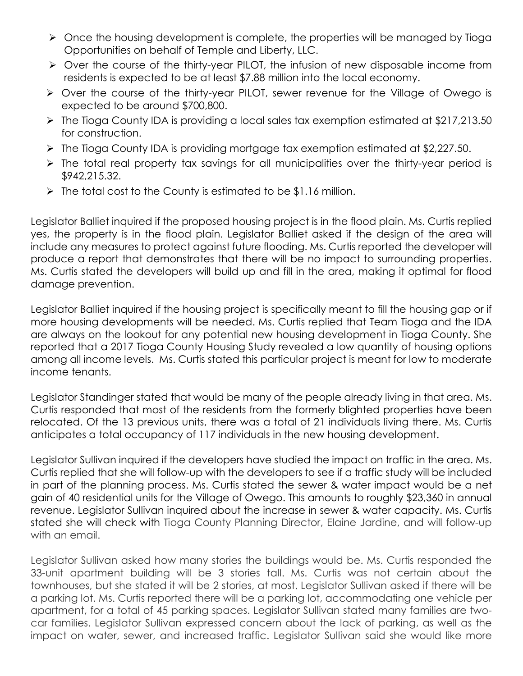- $\triangleright$  Once the housing development is complete, the properties will be managed by Tioga Opportunities on behalf of Temple and Liberty, LLC.
- Over the course of the thirty-year PILOT, the infusion of new disposable income from residents is expected to be at least \$7.88 million into the local economy.
- Over the course of the thirty-year PILOT, sewer revenue for the Village of Owego is expected to be around \$700,800.
- The Tioga County IDA is providing a local sales tax exemption estimated at \$217,213.50 for construction.
- The Tioga County IDA is providing mortgage tax exemption estimated at \$2,227.50.
- $\triangleright$  The total real property tax savings for all municipalities over the thirty-year period is \$942,215.32.
- $\triangleright$  The total cost to the County is estimated to be \$1.16 million.

Legislator Balliet inquired if the proposed housing project is in the flood plain. Ms. Curtis replied yes, the property is in the flood plain. Legislator Balliet asked if the design of the area will include any measures to protect against future flooding. Ms. Curtis reported the developer will produce a report that demonstrates that there will be no impact to surrounding properties. Ms. Curtis stated the developers will build up and fill in the area, making it optimal for flood damage prevention.

Legislator Balliet inquired if the housing project is specifically meant to fill the housing gap or if more housing developments will be needed. Ms. Curtis replied that Team Tioga and the IDA are always on the lookout for any potential new housing development in Tioga County. She reported that a 2017 Tioga County Housing Study revealed a low quantity of housing options among all income levels. Ms. Curtis stated this particular project is meant for low to moderate income tenants.

Legislator Standinger stated that would be many of the people already living in that area. Ms. Curtis responded that most of the residents from the formerly blighted properties have been relocated. Of the 13 previous units, there was a total of 21 individuals living there. Ms. Curtis anticipates a total occupancy of 117 individuals in the new housing development.

Legislator Sullivan inquired if the developers have studied the impact on traffic in the area. Ms. Curtis replied that she will follow-up with the developers to see if a traffic study will be included in part of the planning process. Ms. Curtis stated the sewer & water impact would be a net gain of 40 residential units for the Village of Owego. This amounts to roughly \$23,360 in annual revenue. Legislator Sullivan inquired about the increase in sewer & water capacity. Ms. Curtis stated she will check with Tioga County Planning Director, Elaine Jardine, and will follow-up with an email.

Legislator Sullivan asked how many stories the buildings would be. Ms. Curtis responded the 33-unit apartment building will be 3 stories tall. Ms. Curtis was not certain about the townhouses, but she stated it will be 2 stories, at most. Legislator Sullivan asked if there will be a parking lot. Ms. Curtis reported there will be a parking lot, accommodating one vehicle per apartment, for a total of 45 parking spaces. Legislator Sullivan stated many families are twocar families. Legislator Sullivan expressed concern about the lack of parking, as well as the impact on water, sewer, and increased traffic. Legislator Sullivan said she would like more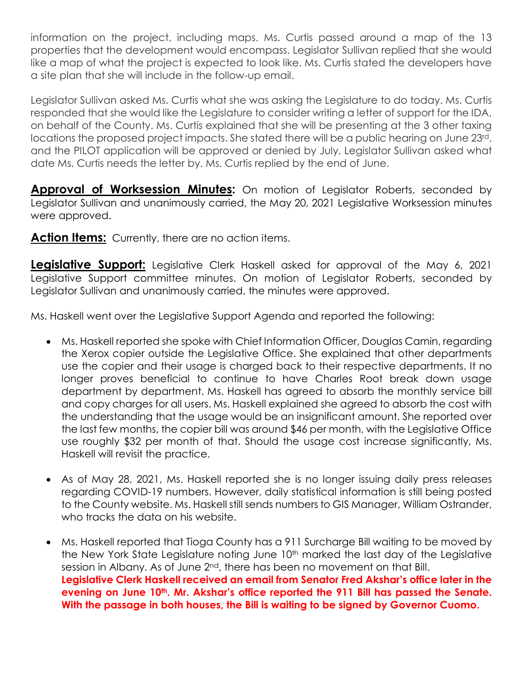information on the project, including maps. Ms. Curtis passed around a map of the 13 properties that the development would encompass. Legislator Sullivan replied that she would like a map of what the project is expected to look like. Ms. Curtis stated the developers have a site plan that she will include in the follow-up email.

Legislator Sullivan asked Ms. Curtis what she was asking the Legislature to do today. Ms. Curtis responded that she would like the Legislature to consider writing a letter of support for the IDA, on behalf of the County. Ms. Curtis explained that she will be presenting at the 3 other taxing locations the proposed project impacts. She stated there will be a public hearing on June 23rd, and the PILOT application will be approved or denied by July. Legislator Sullivan asked what date Ms. Curtis needs the letter by. Ms. Curtis replied by the end of June.

**Approval of Worksession Minutes:** On motion of Legislator Roberts, seconded by Legislator Sullivan and unanimously carried, the May 20, 2021 Legislative Worksession minutes were approved.

Action Items: Currently, there are no action items.

**Legislative Support:** Legislative Clerk Haskell asked for approval of the May 6, 2021 Legislative Support committee minutes. On motion of Legislator Roberts, seconded by Legislator Sullivan and unanimously carried, the minutes were approved.

Ms. Haskell went over the Legislative Support Agenda and reported the following:

- Ms. Haskell reported she spoke with Chief Information Officer, Douglas Camin, regarding the Xerox copier outside the Legislative Office. She explained that other departments use the copier and their usage is charged back to their respective departments. It no longer proves beneficial to continue to have Charles Root break down usage department by department. Ms. Haskell has agreed to absorb the monthly service bill and copy charges for all users. Ms. Haskell explained she agreed to absorb the cost with the understanding that the usage would be an insignificant amount. She reported over the last few months, the copier bill was around \$46 per month, with the Legislative Office use roughly \$32 per month of that. Should the usage cost increase significantly, Ms. Haskell will revisit the practice.
- As of May 28, 2021, Ms. Haskell reported she is no longer issuing daily press releases regarding COVID-19 numbers. However, daily statistical information is still being posted to the County website. Ms. Haskell still sends numbers to GIS Manager, William Ostrander, who tracks the data on his website.
- Ms. Haskell reported that Tioga County has a 911 Surcharge Bill waiting to be moved by the New York State Legislature noting June 10<sup>th</sup> marked the last day of the Legislative session in Albany. As of June 2<sup>nd</sup>, there has been no movement on that Bill. **Legislative Clerk Haskell received an email from Senator Fred Akshar's office later in the evening on June 10th. Mr. Akshar's office reported the 911 Bill has passed the Senate. With the passage in both houses, the Bill is waiting to be signed by Governor Cuomo.**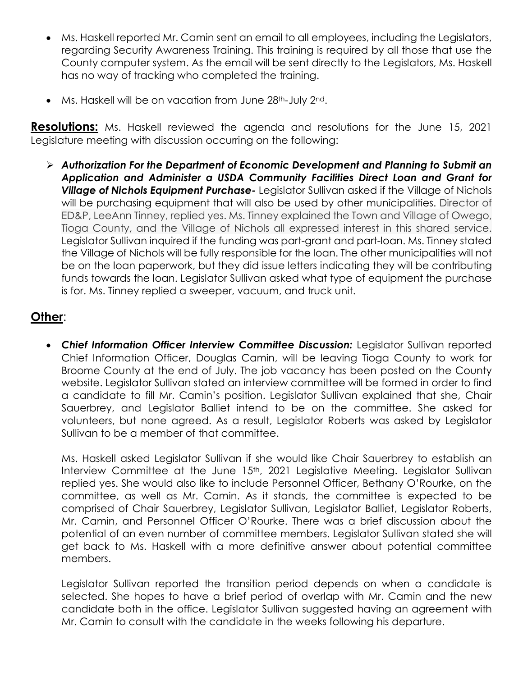- Ms. Haskell reported Mr. Camin sent an email to all employees, including the Legislators, regarding Security Awareness Training. This training is required by all those that use the County computer system. As the email will be sent directly to the Legislators, Ms. Haskell has no way of tracking who completed the training.
- Ms. Haskell will be on vacation from June 28<sup>th</sup>-July 2<sup>nd</sup>.

**Resolutions:** Ms. Haskell reviewed the agenda and resolutions for the June 15, 2021 Legislature meeting with discussion occurring on the following:

 *Authorization For the Department of Economic Development and Planning to Submit an Application and Administer a USDA Community Facilities Direct Loan and Grant for Village of Nichols Equipment Purchase-* Legislator Sullivan asked if the Village of Nichols will be purchasing equipment that will also be used by other municipalities. Director of ED&P, LeeAnn Tinney, replied yes. Ms. Tinney explained the Town and Village of Owego, Tioga County, and the Village of Nichols all expressed interest in this shared service. Legislator Sullivan inquired if the funding was part-grant and part-loan. Ms. Tinney stated the Village of Nichols will be fully responsible for the loan. The other municipalities will not be on the loan paperwork, but they did issue letters indicating they will be contributing funds towards the loan. Legislator Sullivan asked what type of equipment the purchase is for. Ms. Tinney replied a sweeper, vacuum, and truck unit.

## **Other**:

 *Chief Information Officer Interview Committee Discussion:* Legislator Sullivan reported Chief Information Officer, Douglas Camin, will be leaving Tioga County to work for Broome County at the end of July. The job vacancy has been posted on the County website. Legislator Sullivan stated an interview committee will be formed in order to find a candidate to fill Mr. Camin's position. Legislator Sullivan explained that she, Chair Sauerbrey, and Legislator Balliet intend to be on the committee. She asked for volunteers, but none agreed. As a result, Legislator Roberts was asked by Legislator Sullivan to be a member of that committee.

Ms. Haskell asked Legislator Sullivan if she would like Chair Sauerbrey to establish an Interview Committee at the June 15<sup>th</sup>, 2021 Legislative Meeting. Legislator Sullivan replied yes. She would also like to include Personnel Officer, Bethany O'Rourke, on the committee, as well as Mr. Camin. As it stands, the committee is expected to be comprised of Chair Sauerbrey, Legislator Sullivan, Legislator Balliet, Legislator Roberts, Mr. Camin, and Personnel Officer O'Rourke. There was a brief discussion about the potential of an even number of committee members. Legislator Sullivan stated she will get back to Ms. Haskell with a more definitive answer about potential committee members.

Legislator Sullivan reported the transition period depends on when a candidate is selected. She hopes to have a brief period of overlap with Mr. Camin and the new candidate both in the office. Legislator Sullivan suggested having an agreement with Mr. Camin to consult with the candidate in the weeks following his departure.